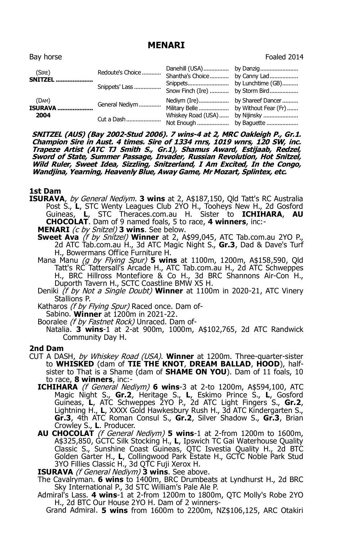# **MENARI**

| Bav horse                |                              |                                 | Foaled 2014  |
|--------------------------|------------------------------|---------------------------------|--------------|
| (SIRE)<br>SNITZEL        | Redoute's Choice             | Shantha's Choice                | by Canny Lad |
|                          | Snippets' Lass               | Snow Finch (Ire)  by Storm Bird |              |
| (DAM)<br>ISURAVA<br>2004 | General Nediym<br>Cut a Dash | Whiskey Road (USA)              | by Nijinsky  |
|                          |                              |                                 |              |

**SNITZEL (AUS) (Bay 2002-Stud 2006). 7 wins-4 at 2, MRC Oakleigh P., Gr.1. Champion Sire in Aust. 4 times. Sire of 1334 rnrs, 1019 wnrs, 120 SW, inc. Trapeze Artist (ATC TJ Smith S., Gr.1), Shamus Award, Estijaab, Redzel, Sword of State, Summer Passage, Invader, Russian Revolution, Hot Snitzel, Wild Ruler, Sweet Idea, Sizzling, Snitzerland, I Am Excited, In the Congo, Wandjina, Yearning, Heavenly Blue, Away Game, Mr Mozart, Splintex, etc.**

## **1st Dam**

- **ISURAVA**, by General Nediym. **3 wins** at 2, A\$187,150, Qld Tatt's RC Australia Post S., L, STC Wenty Leagues Club 2YO H., Tooheys New H., 2d Gosford Guineas, L, STC Theraces.com.au H. Sister to **ICHIHARA, AU** STC Theraces.com.au H. Sister to **ICHIHARA, AU CHOCOLAT**. Dam of 9 named foals, 5 to race, **4 winners**, inc:-
	- **MENARI** (c by Snitzel) **3 wins**. See below.
	- **Sweet Ava** (f by Snitzel) **Winner** at 2, A\$99,045, ATC Tab.com.au 2YO P., 2d ATC Tab.com.au H., 3d ATC Magic Night S., **Gr.3**, Dad & Dave's Turf H., Bowermans Office Furniture H.
	- Mana Manu (g by Flying Spur) **5 wins** at 1100m, 1200m, A\$158,590, Qld Tatt's RC Tattersall's Arcade H., ATC Tab.com.au H., 2d ATC Schweppes H., BRC Hillross Montefiore & Co H., 3d BRC Shannons Air-Con H., Duporth Tavern H., SCTC Coastline BMW X5 H.
	- Deniki (f by Not a Single Doubt) **Winner** at 1100m in 2020-21, ATC Vinery Stallions P.
	- Katharos (f by Flying Spur) Raced once. Dam of-
	- Sabino. **Winner** at 1200m in 2021-22.
	- Booralee (f by Fastnet Rock) Unraced. Dam of-
		- Natalia. **3 wins**-1 at 2-at 900m, 1000m, A\$102,765, 2d ATC Randwick Community Day H.

## **2nd Dam**

- CUT A DASH, by Whiskey Road (USA). **Winner** at 1200m. Three-quarter-sister to **WHISKED** (dam of **TIE THE KNOT**, **DREAM BALLAD**, **HOOD**), halfsister to That is a Shame (dam of **SHAME ON YOU**). Dam of 11 foals, 10 to race, **8 winners**, inc:-
	- **ICHIHARA** (f General Nediym) **6 wins**-3 at 2-to 1200m, A\$594,100, ATC Magic Night S., **Gr.2**, Heritage S., **L**, Eskimo Prince S., **L**, Gosford Guineas, **L**, ATC Schweppes 2YO P., 2d ATC Light Fingers S., **Gr.2**, Lightning H., **L**, XXXX Gold Hawkesbury Rush H., 3d ATC Kindergarten S., **Gr.3**, 4th ATC Roman Consul S., **Gr.2**, Silver Shadow S., **Gr.3**, Brian Crowley S., **L**. Producer.
	- **AU CHOCOLAT** (f General Nediym) **5 wins**-1 at 2-from 1200m to 1600m, A\$325,850, GCTC Silk Stocking H., **L**, Ipswich TC Gai Waterhouse Quality Classic S., Sunshine Coast Guineas, QTC Isvestia Quality H., 2d BTC Golden Garter H., **L**, Collingwood Park Estate H., GCTC Noble Park Stud 3YO Fillies Classic H., 3d QTC Fuji Xerox H.
	- **ISURAVA** (f General Nediym) **3 wins**. See above.
	- The Cavalryman. **6 wins** to 1400m, BRC Drumbeats at Lyndhurst H., 2d BRC Sky International P., 3d STC William's Pale Ale P.
	- Admiral's Lass. **4 wins**-1 at 2-from 1200m to 1800m, QTC Molly's Robe 2YO H., 2d BTC Our House 2YO H. Dam of 2 winners-
		- Grand Admiral. **5 wins** from 1600m to 2200m, NZ\$106,125, ARC Otakiri